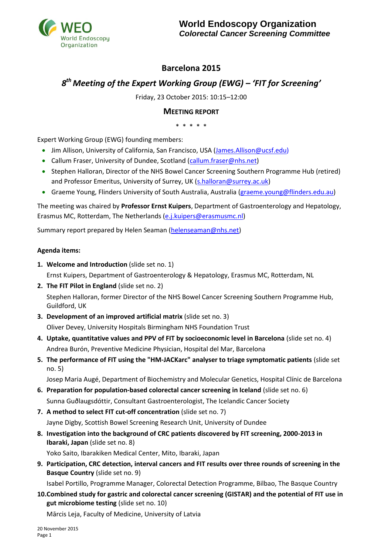

## **Barcelona 2015**

# *8 th Meeting of the Expert Working Group (EWG) – 'FIT for Screening'*

Friday, 23 October 2015: 10:15–12:00

## **MEETING REPORT**

\* \* \* \* \*

Expert Working Group (EWG) founding members:

- Jim Allison, University of California, San Francisco, USA [\(James.Allison@ucsf.edu\)](mailto:James.Allison@ucsf.edu)
- Callum Fraser, University of Dundee, Scotland [\(callum.fraser@nhs.net\)](mailto:callum.fraser@nhs.net)
- Stephen Halloran, Director of the NHS Bowel Cancer Screening Southern Programme Hub (retired) and Professor Emeritus, University of Surrey, UK [\(s.halloran@s](mailto:s.halloran@)urrey.ac.uk)
- Graeme Young, Flinders University of South Australia, Australia [\(graeme.young@flinders.edu.au\)](mailto:graeme.young@flinders.edu.au)

The meeting was chaired by **Professor Ernst Kuipers**, Department of Gastroenterology and Hepatology, Erasmus MC, Rotterdam, The Netherlands [\(e.j.kuipers@erasmusmc.nl\)](mailto:e.j.kuipers@erasmusmc.nl)

Summary report prepared by Helen Seaman [\(helenseaman@nhs.net\)](mailto:helenseaman@nhs.net)

#### **Agenda items:**

1. Welcome and Introduction (slide set no. 1)

Ernst Kuipers, Department of Gastroenterology & Hepatology, Erasmus MC, Rotterdam, NL

- **2. The FIT Pilot in England** (slide set no. 2) Stephen Halloran, former Director of the NHS Bowel Cancer Screening Southern Programme Hub, Guildford, UK
- **3. Development of an improved artificial matrix** (slide set no. 3) Oliver Devey, University Hospitals Birmingham NHS Foundation Trust
- **4. Uptake, quantitative values and PPV of FIT by socioeconomic level in Barcelona** (slide set no. 4) Andrea Burón, Preventive Medicine Physician, Hospital del Mar, Barcelona
- **5. The performance of FIT using the "HM-JACKarc" analyser to triage symptomatic patients** (slide set no. 5)

Josep Maria Augé, Department of Biochemistry and Molecular Genetics, Hospital Clínic de Barcelona

- **6. Preparation for population-based colorectal cancer screening in Iceland** (slide set no. 6) Sunna Guðlaugsdóttir, Consultant Gastroenterologist, The Icelandic Cancer Society
- **7. A method to select FIT cut-off concentration** (slide set no. 7) Jayne Digby, Scottish Bowel Screening Research Unit, University of Dundee
- **8. Investigation into the background of CRC patients discovered by FIT screening, 2000-2013 in Ibaraki, Japan** (slide set no. 8)

Yoko Saito, Ibarakiken Medical Center, Mito, Ibaraki, Japan

**9. Participation, CRC detection, interval cancers and FIT results over three rounds of screening in the Basque Country** (slide set no. 9)

Isabel Portillo, Programme Manager, Colorectal Detection Programme, Bilbao, The Basque Country

**10.Combined study for gastric and colorectal cancer screening (GISTAR) and the potential of FIT use in gut microbiome testing** (slide set no. 10)

Mārcis Leja, Faculty of Medicine, University of Latvia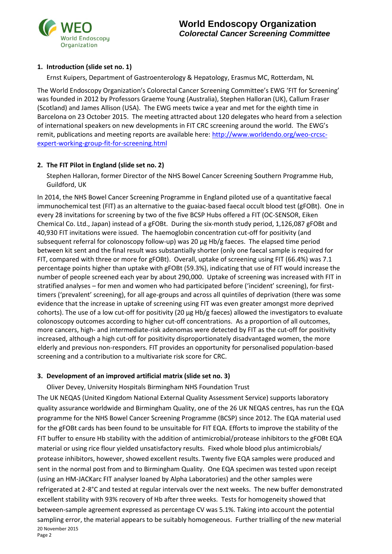

## **1. Introduction (slide set no. 1)**

Ernst Kuipers, Department of Gastroenterology & Hepatology, Erasmus MC, Rotterdam, NL

The World Endoscopy Organization's Colorectal Cancer Screening Committee's EWG 'FIT for Screening' was founded in 2012 by Professors Graeme Young (Australia), Stephen Halloran (UK), Callum Fraser (Scotland) and James Allison (USA). The EWG meets twice a year and met for the eighth time in Barcelona on 23 October 2015. The meeting attracted about 120 delegates who heard from a selection of international speakers on new developments in FIT CRC screening around the world. The EWG's remit, publications and meeting reports are available here: [http://www.worldendo.org/weo-crcsc](http://www.worldendo.org/weo-crcsc-expert-working-group-fit-for-screening.html)[expert-working-group-fit-for-screening.html](http://www.worldendo.org/weo-crcsc-expert-working-group-fit-for-screening.html)

## **2. The FIT Pilot in England (slide set no. 2)**

Stephen Halloran, former Director of the NHS Bowel Cancer Screening Southern Programme Hub, Guildford, UK

In 2014, the NHS Bowel Cancer Screening Programme in England piloted use of a quantitative faecal immunochemical test (FIT) as an alternative to the guaiac-based faecal occult blood test (gFOBt). One in every 28 invitations for screening by two of the five BCSP Hubs offered a FIT (OC-SENSOR, Eiken Chemical Co. Ltd., Japan) instead of a gFOBt. During the six-month study period, 1,126,087 gFOBt and 40,930 FIT invitations were issued. The haemoglobin concentration cut-off for positivity (and subsequent referral for colonoscopy follow-up) was 20 µg Hb/g faeces. The elapsed time period between kit sent and the final result was substantially shorter (only one faecal sample is required for FIT, compared with three or more for gFOBt). Overall, uptake of screening using FIT (66.4%) was 7.1 percentage points higher than uptake with gFOBt (59.3%), indicating that use of FIT would increase the number of people screened each year by about 290,000. Uptake of screening was increased with FIT in stratified analyses – for men and women who had participated before ('incident' screening), for firsttimers ('prevalent' screening), for all age-groups and across all quintiles of deprivation (there was some evidence that the increase in uptake of screening using FIT was even greater amongst more deprived cohorts). The use of a low cut-off for positivity (20 µg Hb/g faeces) allowed the investigators to evaluate colonoscopy outcomes according to higher cut-off concentrations. As a proportion of all outcomes, more cancers, high- and intermediate-risk adenomas were detected by FIT as the cut-off for positivity increased, although a high cut-off for positivity disproportionately disadvantaged women, the more elderly and previous non-responders. FIT provides an opportunity for personalised population-based screening and a contribution to a multivariate risk score for CRC.

#### **3. Development of an improved artificial matrix (slide set no. 3)**

Oliver Devey, University Hospitals Birmingham NHS Foundation Trust

20 November 2015 Page 2 The UK NEQAS (United Kingdom National External Quality Assessment Service) supports laboratory quality assurance worldwide and Birmingham Quality, one of the 26 UK NEQAS centres, has run the EQA programme for the NHS Bowel Cancer Screening Programme (BCSP) since 2012. The EQA material used for the gFOBt cards has been found to be unsuitable for FIT EQA. Efforts to improve the stability of the FIT buffer to ensure Hb stability with the addition of antimicrobial/protease inhibitors to the gFOBt EQA material or using rice flour yielded unsatisfactory results. Fixed whole blood plus antimicrobials/ protease inhibitors, however, showed excellent results. Twenty five EQA samples were produced and sent in the normal post from and to Birmingham Quality. One EQA specimen was tested upon receipt (using an HM-JACKarc FIT analyser loaned by Alpha Laboratories) and the other samples were refrigerated at 2-8°C and tested at regular intervals over the next weeks. The new buffer demonstrated excellent stability with 93% recovery of Hb after three weeks. Tests for homogeneity showed that between-sample agreement expressed as percentage CV was 5.1%. Taking into account the potential sampling error, the material appears to be suitably homogeneous. Further trialling of the new material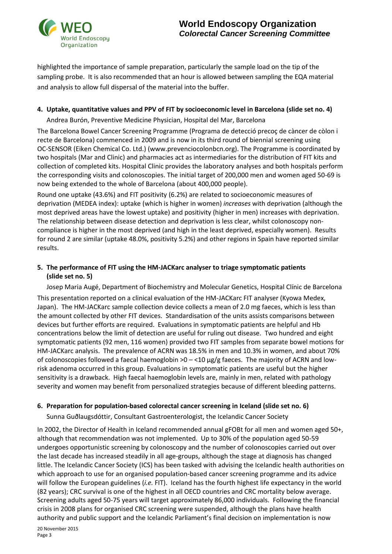

highlighted the importance of sample preparation, particularly the sample load on the tip of the sampling probe. It is also recommended that an hour is allowed between sampling the EQA material and analysis to allow full dispersal of the material into the buffer.

#### **4. Uptake, quantitative values and PPV of FIT by socioeconomic level in Barcelona (slide set no. 4)**

Andrea Burón, Preventive Medicine Physician, Hospital del Mar, Barcelona

The Barcelona Bowel Cancer Screening Programme (Programa de detecció precoç de càncer de còlon i recte de Barcelona) commenced in 2009 and is now in its third round of biennial screening using OC-SENSOR (Eiken Chemical Co. Ltd.) (www.prevenciocolonbcn.org). The Programme is coordinated by two hospitals (Mar and Clinic) and pharmacies act as intermediaries for the distribution of FIT kits and collection of completed kits. Hospital Clinic provides the laboratory analyses and both hospitals perform the corresponding visits and colonoscopies. The initial target of 200,000 men and women aged 50-69 is now being extended to the whole of Barcelona (about 400,000 people).

Round one uptake (43.6%) and FIT positivity (6.2%) are related to socioeconomic measures of deprivation (MEDEA index): uptake (which is higher in women) *increases* with deprivation (although the most deprived areas have the lowest uptake) and positivity (higher in men) increases with deprivation. The relationship between disease detection and deprivation is less clear, whilst colonoscopy noncompliance is higher in the most deprived (and high in the least deprived, especially women). Results for round 2 are similar (uptake 48.0%, positivity 5.2%) and other regions in Spain have reported similar results.

## **5. The performance of FIT using the HM-JACKarc analyser to triage symptomatic patients (slide set no. 5)**

Josep Maria Augé, Department of Biochemistry and Molecular Genetics, Hospital Clínic de Barcelona This presentation reported on a clinical evaluation of the HM-JACKarc FIT analyser (Kyowa Medex, Japan). The HM-JACKarc sample collection device collects a mean of 2.0 mg faeces, which is less than the amount collected by other FIT devices. Standardisation of the units assists comparisons between devices but further efforts are required. Evaluations in symptomatic patients are helpful and Hb concentrations below the limit of detection are useful for ruling out disease. Two hundred and eight symptomatic patients (92 men, 116 women) provided two FIT samples from separate bowel motions for HM-JACKarc analysis. The prevalence of ACRN was 18.5% in men and 10.3% in women, and about 70% of colonoscopies followed a faecal haemoglobin  $>0 - 10 \mu g/g$  faeces. The majority of ACRN and lowrisk adenoma occurred in this group. Evaluations in symptomatic patients are useful but the higher sensitivity is a drawback. High faecal haemoglobin levels are, mainly in men, related with pathology severity and women may benefit from personalized strategies because of different bleeding patterns.

#### **6. Preparation for population-based colorectal cancer screening in Iceland (slide set no. 6)**

Sunna Guðlaugsdóttir, Consultant Gastroenterologist, the Icelandic Cancer Society

In 2002, the Director of Health in Iceland recommended annual gFOBt for all men and women aged 50+, although that recommendation was not implemented. Up to 30% of the population aged 50-59 undergoes opportunistic screening by colonoscopy and the number of colonoscopies carried out over the last decade has increased steadily in all age-groups, although the stage at diagnosis has changed little. The Icelandic Cancer Society (ICS) has been tasked with advising the Icelandic health authorities on which approach to use for an organised population-based cancer screening programme and its advice will follow the European guidelines (*i.e.* FIT). Iceland has the fourth highest life expectancy in the world (82 years); CRC survival is one of the highest in all OECD countries and CRC mortality below average. Screening adults aged 50-75 years will target approximately 86,000 individuals. Following the financial crisis in 2008 plans for organised CRC screening were suspended, although the plans have health authority and public support and the Icelandic Parliament's final decision on implementation is now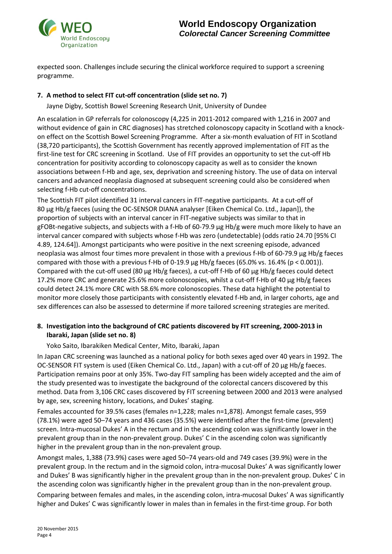

expected soon. Challenges include securing the clinical workforce required to support a screening programme.

### **7. A method to select FIT cut-off concentration (slide set no. 7)**

Jayne Digby, Scottish Bowel Screening Research Unit, University of Dundee

An escalation in GP referrals for colonoscopy (4,225 in 2011-2012 compared with 1,216 in 2007 and without evidence of gain in CRC diagnoses) has stretched colonoscopy capacity in Scotland with a knockon effect on the Scottish Bowel Screening Programme. After a six-month evaluation of FIT in Scotland (38,720 participants), the Scottish Government has recently approved implementation of FIT as the first-line test for CRC screening in Scotland. Use of FIT provides an opportunity to set the cut-off Hb concentration for positivity according to colonoscopy capacity as well as to consider the known associations between f-Hb and age, sex, deprivation and screening history. The use of data on interval cancers and advanced neoplasia diagnosed at subsequent screening could also be considered when selecting f-Hb cut-off concentrations.

The Scottish FIT pilot identified 31 interval cancers in FIT-negative participants. At a cut-off of 80 µg Hb/g faeces (using the OC-SENSOR DIANA analyser [Eiken Chemical Co. Ltd., Japan]), the proportion of subjects with an interval cancer in FIT-negative subjects was similar to that in gFOBt-negative subjects, and subjects with a f-Hb of 60-79.9 µg Hb/g were much more likely to have an interval cancer compared with subjects whose f-Hb was zero (undetectable) (odds ratio 24.70 [95% CI 4.89, 124.64]). Amongst participants who were positive in the next screening episode, advanced neoplasia was almost four times more prevalent in those with a previous f-Hb of 60-79.9 μg Hb/g faeces compared with those with a previous f-Hb of 0-19.9 μg Hb/g faeces (65.0% vs. 16.4% (p < 0.001)). Compared with the cut-off used (80 μg Hb/g faeces), a cut-off f-Hb of 60 μg Hb/g faeces could detect 17.2% more CRC and generate 25.6% more colonoscopies, whilst a cut-off f-Hb of 40 μg Hb/g faeces could detect 24.1% more CRC with 58.6% more colonoscopies. These data highlight the potential to monitor more closely those participants with consistently elevated f-Hb and, in larger cohorts, age and sex differences can also be assessed to determine if more tailored screening strategies are merited.

## **8. Investigation into the background of CRC patients discovered by FIT screening, 2000-2013 in Ibaraki, Japan (slide set no. 8)**

Yoko Saito, Ibarakiken Medical Center, Mito, Ibaraki, Japan

In Japan CRC screening was launched as a national policy for both sexes aged over 40 years in 1992. The OC-SENSOR FIT system is used (Eiken Chemical Co. Ltd., Japan) with a cut-off of 20 ug Hb/g faeces. Participation remains poor at only 35%. Two-day FIT sampling has been widely accepted and the aim of the study presented was to investigate the background of the colorectal cancers discovered by this method. Data from 3,106 CRC cases discovered by FIT screening between 2000 and 2013 were analysed by age, sex, screening history, locations, and Dukes' staging.

Females accounted for 39.5% cases (females n=1,228; males n=1,878). Amongst female cases, 959 (78.1%) were aged 50–74 years and 436 cases (35.5%) were identified after the first-time (prevalent) screen. Intra-mucosal Dukes' A in the rectum and in the ascending colon was significantly lower in the prevalent group than in the non-prevalent group. Dukes' C in the ascending colon was significantly higher in the prevalent group than in the non-prevalent group.

Amongst males, 1,388 (73.9%) cases were aged 50–74 years-old and 749 cases (39.9%) were in the prevalent group. In the rectum and in the sigmoid colon, intra-mucosal Dukes' A was significantly lower and Dukes' B was significantly higher in the prevalent group than in the non-prevalent group. Dukes' C in the ascending colon was significantly higher in the prevalent group than in the non-prevalent group.

Comparing between females and males, in the ascending colon, intra-mucosal Dukes' A was significantly higher and Dukes' C was significantly lower in males than in females in the first-time group. For both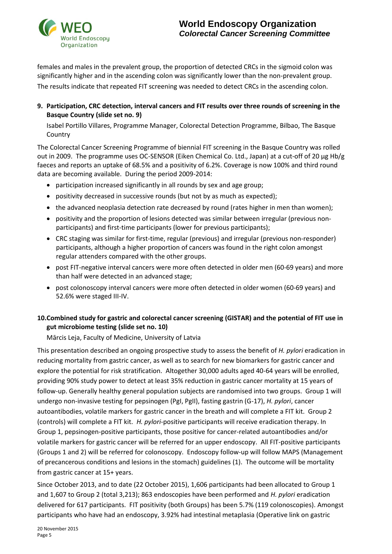

females and males in the prevalent group, the proportion of detected CRCs in the sigmoid colon was significantly higher and in the ascending colon was significantly lower than the non-prevalent group.

The results indicate that repeated FIT screening was needed to detect CRCs in the ascending colon.

**9. Participation, CRC detection, interval cancers and FIT results over three rounds of screening in the Basque Country (slide set no. 9)**

Isabel Portillo Villares, Programme Manager, Colorectal Detection Programme, Bilbao, The Basque Country

The Colorectal Cancer Screening Programme of biennial FIT screening in the Basque Country was rolled out in 2009. The programme uses OC-SENSOR (Eiken Chemical Co. Ltd., Japan) at a cut-off of 20 µg Hb/g faeces and reports an uptake of 68.5% and a positivity of 6.2%. Coverage is now 100% and third round data are becoming available. During the period 2009-2014:

- participation increased significantly in all rounds by sex and age group;
- positivity decreased in successive rounds (but not by as much as expected);
- the advanced neoplasia detection rate decreased by round (rates higher in men than women);
- positivity and the proportion of lesions detected was similar between irregular (previous nonparticipants) and first-time participants (lower for previous participants);
- CRC staging was similar for first-time, regular (previous) and irregular (previous non-responder) participants, although a higher proportion of cancers was found in the right colon amongst regular attenders compared with the other groups.
- post FIT-negative interval cancers were more often detected in older men (60-69 years) and more than half were detected in an advanced stage;
- post colonoscopy interval cancers were more often detected in older women (60-69 years) and 52.6% were staged III-IV.

## **10.Combined study for gastric and colorectal cancer screening (GISTAR) and the potential of FIT use in gut microbiome testing (slide set no. 10)**

Mārcis Leja, Faculty of Medicine, University of Latvia

This presentation described an ongoing prospective study to assess the benefit of *H. pylori* eradication in reducing mortality from gastric cancer, as well as to search for new biomarkers for gastric cancer and explore the potential for risk stratification. Altogether 30,000 adults aged 40-64 years will be enrolled, providing 90% study power to detect at least 35% reduction in gastric cancer mortality at 15 years of follow-up. Generally healthy general population subjects are randomised into two groups. Group 1 will undergo non-invasive testing for pepsinogen (PgI, PgII), fasting gastrin (G-17), *H. pylori*, cancer autoantibodies, volatile markers for gastric cancer in the breath and will complete a FIT kit. Group 2 (controls) will complete a FIT kit. *H. pylori*-positive participants will receive eradication therapy. In Group 1, pepsinogen-positive participants, those positive for cancer-related autoantibodies and/or volatile markers for gastric cancer will be referred for an upper endoscopy. All FIT-positive participants (Groups 1 and 2) will be referred for colonoscopy. Endoscopy follow-up will follow MAPS (Management of precancerous conditions and lesions in the stomach) guidelines (1). The outcome will be mortality from gastric cancer at 15+ years.

Since October 2013, and to date (22 October 2015), 1,606 participants had been allocated to Group 1 and 1,607 to Group 2 (total 3,213); 863 endoscopies have been performed and *H. pylori* eradication delivered for 617 participants. FIT positivity (both Groups) has been 5.7% (119 colonoscopies). Amongst participants who have had an endoscopy, 3.92% had intestinal metaplasia (Operative link on gastric